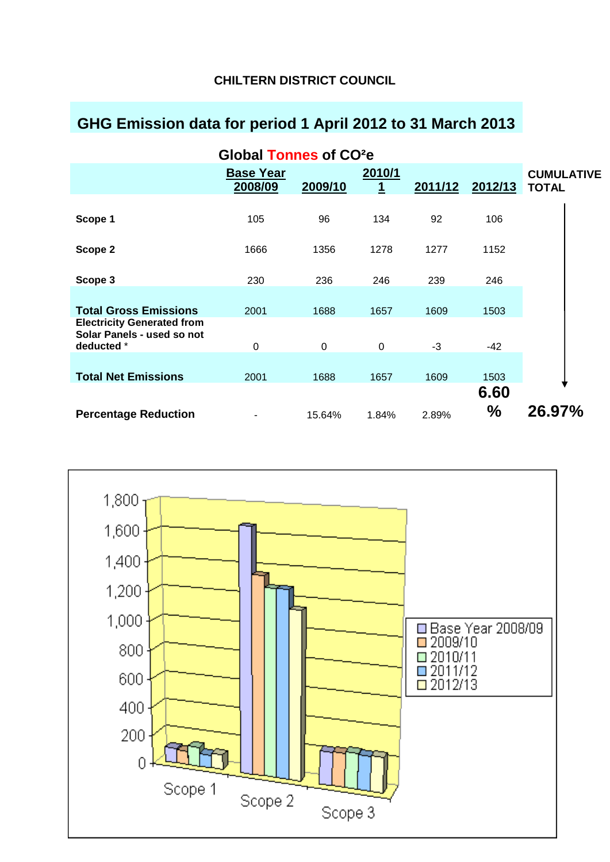## **CHILTERN DISTRICT COUNCIL**

# **GHG Emission data for period 1 April 2012 to 31 March 2013**

| Global Tonnes of CO <sup>2</sup> e                                            |                             |         |             |         |              |                                   |
|-------------------------------------------------------------------------------|-----------------------------|---------|-------------|---------|--------------|-----------------------------------|
|                                                                               | <b>Base Year</b><br>2008/09 | 2009/10 | 2010/1<br>1 | 2011/12 | 2012/13      | <b>CUMULATIVE</b><br><b>TOTAL</b> |
| Scope 1                                                                       | 105                         | 96      | 134         | 92      | 106          |                                   |
| Scope 2                                                                       | 1666                        | 1356    | 1278        | 1277    | 1152         |                                   |
| Scope 3                                                                       | 230                         | 236     | 246         | 239     | 246          |                                   |
| <b>Total Gross Emissions</b>                                                  | 2001                        | 1688    | 1657        | 1609    | 1503         |                                   |
| <b>Electricity Generated from</b><br>Solar Panels - used so not<br>deducted * | $\mathbf 0$                 | 0       | $\mathbf 0$ | $-3$    | $-42$        |                                   |
| <b>Total Net Emissions</b>                                                    | 2001                        | 1688    | 1657        | 1609    | 1503         |                                   |
| <b>Percentage Reduction</b>                                                   |                             | 15.64%  | 1.84%       | 2.89%   | 6.60<br>$\%$ | 26.97%                            |

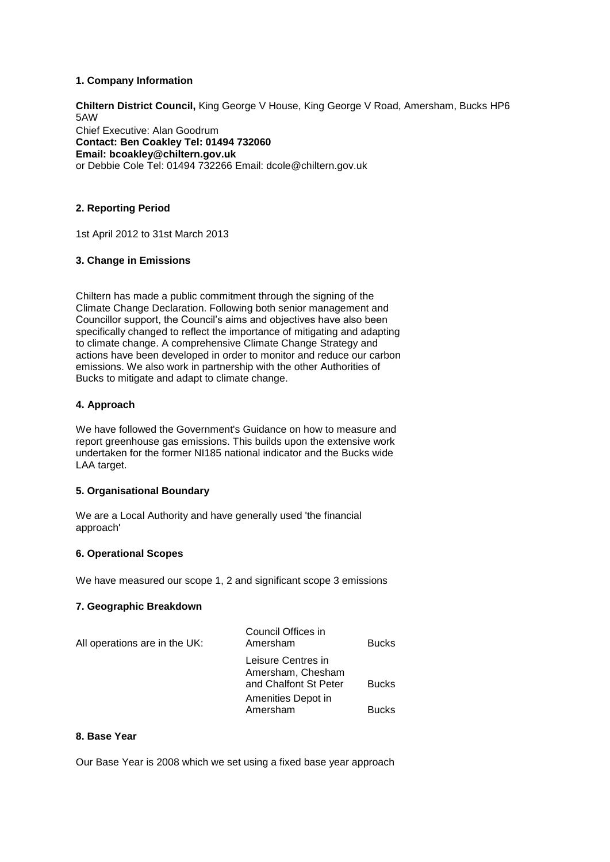#### **1. Company Information**

**Chiltern District Council,** King George V House, King George V Road, Amersham, Bucks HP6 5AW

Chief Executive: Alan Goodrum **Contact: Ben Coakley Tel: 01494 732060 Email: bcoakley@chiltern.gov.uk**  or Debbie Cole Tel: 01494 732266 Email: dcole@chiltern.gov.uk

### **2. Reporting Period**

1st April 2012 to 31st March 2013

#### **3. Change in Emissions**

Chiltern has made a public commitment through the signing of the Climate Change Declaration. Following both senior management and Councillor support, the Council's aims and objectives have also been specifically changed to reflect the importance of mitigating and adapting to climate change. A comprehensive Climate Change Strategy and actions have been developed in order to monitor and reduce our carbon emissions. We also work in partnership with the other Authorities of Bucks to mitigate and adapt to climate change.

#### **4. Approach**

We have followed the Government's Guidance on how to measure and report greenhouse gas emissions. This builds upon the extensive work undertaken for the former NI185 national indicator and the Bucks wide LAA target.

#### **5. Organisational Boundary**

We are a Local Authority and have generally used 'the financial approach'

#### **6. Operational Scopes**

We have measured our scope 1, 2 and significant scope 3 emissions

#### **7. Geographic Breakdown**

| All operations are in the UK: | Council Offices in<br>Amersham                                   | <b>Bucks</b> |
|-------------------------------|------------------------------------------------------------------|--------------|
|                               | Leisure Centres in<br>Amersham, Chesham<br>and Chalfont St Peter | <b>Bucks</b> |
|                               | Amenities Depot in<br>Amersham                                   | <b>Bucks</b> |

#### **8. Base Year**

Our Base Year is 2008 which we set using a fixed base year approach